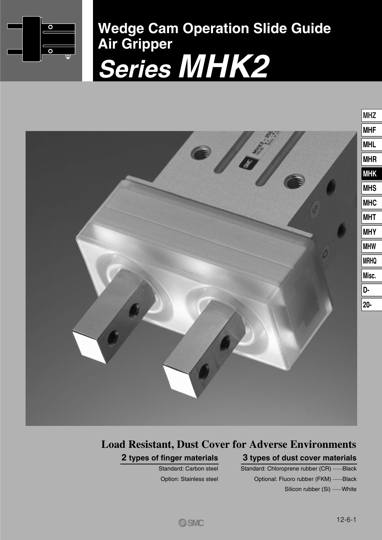

**Wedge Cam Operation Slide Guide Air Gripper Series MHK2**



# **3 types of dust cover materials 2 types of finger materials Load Resistant, Dust Cover for Adverse Environments**

Standard: Carbon steel Option: Stainless steel

## Standard: Chloroprene rubber (CR) ·······Black Optional: Fluoro rubber (FKM) ······Black Silicon rubber (Si) ······White

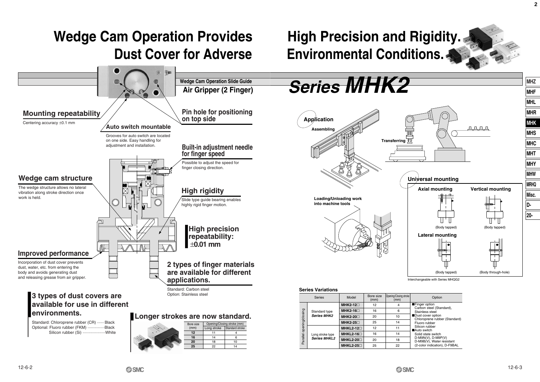

12-6-2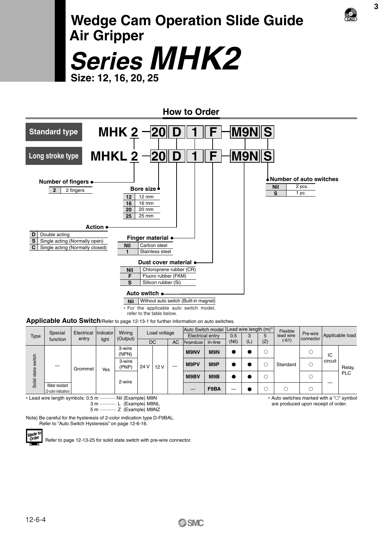# **Wedge Cam Operation Slide Guide Air Gripper Series MHK2**

**Size: 12, 16, 20, 25**



|                 |                                         |            |           | Wiring          | Load voltage |                        | Auto Switch model  Lead wire length (m)" |                  |       |             |     | Flexible |           | Applicable load |         |                       |    |  |
|-----------------|-----------------------------------------|------------|-----------|-----------------|--------------|------------------------|------------------------------------------|------------------|-------|-------------|-----|----------|-----------|-----------------|---------|-----------------------|----|--|
| <b>Type</b>     | Special                                 | Electrical | Indicator |                 |              |                        |                                          | Electrical entry |       | 0.5         | 3   | 5        | lead wire |                 |         | Pre-wire<br>connector |    |  |
|                 | function                                | entry      | light     | (Output)        |              | <b>DC</b><br><b>AC</b> | Perpendicular                            | In-line          | (Nil) | (L)         | (Z) | $(-61)$  |           |                 |         |                       |    |  |
| switch<br>state |                                         | Grommet    |           |                 |              | 3-wire<br>(NPN)        |                                          |                  |       | <b>M9NV</b> | M9N |          |           | О               |         |                       | ТC |  |
|                 |                                         |            | Yes       | 3-wire<br>(PNP) | 24 V         | 12 V                   |                                          | M9PV             | M9P   |             |     |          | Standard  | О               | circuit | Relay,                |    |  |
|                 |                                         |            |           | 2-wire          |              |                        |                                          | M9BV             | M9B   |             |     |          |           |                 |         | <b>PLC</b>            |    |  |
| Solid           | Water resistant<br>(2-color indication) |            |           |                 |              |                        |                                          |                  | F9BA  |             |     |          |           |                 |         |                       |    |  |

∗ Lead wire length symbols: 0.5 m ············ Nil (Example) M9N 3 m ············ L (Example) M9NL

5 m ············ Z (Example) M9NZ

Note) Be careful for the hysteresis of 2-color indication type D-F9BAL. Refer to "Auto Switch Hysteresis" on page 12-6-16.

<sub>Made to</sub><br>Order

Refer to page 12-13-25 for solid state switch with pre-wire connector.

\* Auto switches marked with a "○" symbol are produced upon receipt of order.

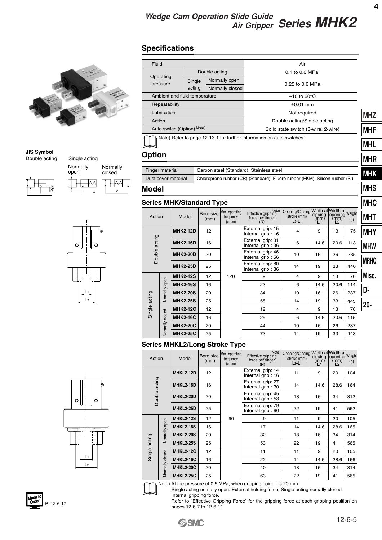**MHS**

# *Series MHK2 Wedge Cam Operation Slide Guide Air Gripper*

# **Specifications**



#### **JIS Symbol** Double acting







| Fluid                                                       |        |                 | Air                                                                   |            |
|-------------------------------------------------------------|--------|-----------------|-----------------------------------------------------------------------|------------|
|                                                             |        | Double acting   | 0.1 to 0.6 MPa                                                        |            |
| Operating                                                   | Single | Normally open   |                                                                       |            |
| pressure                                                    | acting | Normally closed | 0.25 to 0.6 MPa                                                       |            |
| Ambient and fluid temperature                               |        |                 | $-10$ to 60 $\degree$ C                                               |            |
| Repeatability                                               |        |                 | $\pm 0.01$ mm                                                         |            |
| Lubrication                                                 |        |                 | Not required                                                          | <b>MHZ</b> |
| Action                                                      |        |                 | Double acting/Single acting                                           |            |
| Auto switch (Option) Note)                                  |        |                 | Solid state switch (3-wire, 2-wire)                                   | <b>MHF</b> |
|                                                             |        |                 | Note) Refer to page 12-13-1 for further information on auto switches. |            |
|                                                             |        |                 |                                                                       | <b>MHL</b> |
| <b>Option</b>                                               |        |                 |                                                                       | <b>MHR</b> |
|                                                             |        |                 |                                                                       |            |
| Finger material<br>Carbon steel (Standard), Stainless steel |        |                 |                                                                       |            |

Dust cover material Chloroprene rubber (CR) (Standard), Fluoro rubber (FKM), Silicon rubber (Si)

### **Model**

### **Series MHK/Standard Type**

|               |                 | Series MHK/Standard Type |                   |                                        |                                                        |                                           |             |                                                           |     | <b>MHC</b>  |
|---------------|-----------------|--------------------------|-------------------|----------------------------------------|--------------------------------------------------------|-------------------------------------------|-------------|-----------------------------------------------------------|-----|-------------|
| Action        |                 | Model                    | Bore size<br>(mm) | Max. operating<br>frequency<br>(c.p.m) | Note)<br>Effective gripping<br>force per finger<br>(N) | Opening/Closing<br>stroke (mm)<br>$L2-L1$ | (mm)<br>l 1 | Width at Width at<br>closing opening Weight<br>(mm)<br>L2 | (g) | <b>MHT</b>  |
|               |                 | <b>MHK2-12D</b>          | 12                |                                        | External grip: 15<br>Internal grip: 16                 | 4                                         | 9           | 13                                                        | 75  | <b>MHY</b>  |
| Double acting |                 | <b>MHK2-16D</b>          | 16                |                                        | External grip: 31<br>Internal grip: 36                 | 6                                         | 14.6        | 20.6                                                      | 113 | <b>MHW</b>  |
|               |                 | <b>MHK2-20D</b>          | 20                |                                        | External grip: 46<br>Internal grip: 56                 | 10                                        | 16          | 26                                                        | 235 | <b>MRHQ</b> |
|               |                 | <b>MHK2-25D</b>          | 25                |                                        | External grip: 80<br>Internal grip: 86                 | 14                                        | 19          | 33                                                        | 440 |             |
|               |                 | <b>MHK2-12S</b>          | 12                | 120                                    | 9                                                      | $\overline{4}$                            | 9           | 13                                                        | 76  | Misc.       |
|               |                 | <b>MHK2-16S</b>          | 16                |                                        | 23                                                     | 6                                         | 14.6        | 20.6                                                      | 114 |             |
|               | Normally open   | <b>MHK2-20S</b>          | 20                |                                        | 34                                                     | 10                                        | 16          | 26                                                        | 237 | D-          |
| Single acting |                 | <b>MHK2-25S</b>          | 25                |                                        | 58                                                     | 14                                        | 19          | 33                                                        | 443 | $20 -$      |
|               |                 | <b>MHK2-12C</b>          | 12                |                                        | 12                                                     | $\overline{4}$                            | 9           | 13                                                        | 76  |             |
|               | Normally closed | <b>MHK2-16C</b>          | 16                |                                        | 25                                                     | 6                                         | 14.6        | 20.6                                                      | 115 |             |
|               | <b>MHK2-20C</b> | 20                       |                   | 44                                     | 10                                                     | 16                                        | 26          | 237                                                       |     |             |
|               |                 | <b>MHK2-25C</b>          | 25                |                                        | 73                                                     | 14                                        | 19          | 33                                                        | 443 |             |
|               |                 |                          |                   |                                        |                                                        |                                           |             |                                                           |     |             |

### **Series MHKL2/Long Stroke Type**

| Action                                                |                 | Model            | Bore size<br>(mm) | Max. operating<br>frequency<br>(c.p.m) | Note)<br>Effective gripping<br>force per finger<br>(N) | Opening/Closing Width at Width at<br>stroke (mm)<br>$L2-L1$ | closing<br>(mm)<br>L1 | opening Weight<br>(mm)<br>L2 | (g) |
|-------------------------------------------------------|-----------------|------------------|-------------------|----------------------------------------|--------------------------------------------------------|-------------------------------------------------------------|-----------------------|------------------------------|-----|
|                                                       |                 | <b>MHKL2-12D</b> | 12                |                                        | External grip: 14<br>Internal grip: 16                 | 11                                                          | 9                     | 20                           | 104 |
|                                                       |                 | <b>MHKL2-16D</b> | 16                |                                        | External grip: 27<br>Internal grip: 30                 | 14                                                          | 14.6                  | 28.6                         | 164 |
| Double acting<br><b>MHKL2-20D</b><br><b>MHKL2-25D</b> |                 | 20               |                   | External grip: 45<br>Internal grip: 53 | 18                                                     | 16                                                          | 34                    | 312                          |     |
|                                                       |                 |                  | 25                |                                        | External grip: 79<br>Internal grip: 90                 | 22                                                          | 19                    | 41                           | 562 |
|                                                       |                 | <b>MHKL2-12S</b> | 12                | 90                                     | 9                                                      | 11                                                          | 9                     | 20                           | 105 |
|                                                       |                 | <b>MHKL2-16S</b> | 16                |                                        | 17                                                     | 14                                                          | 14.6                  | 28.6                         | 165 |
|                                                       | Normally open   | <b>MHKL2-20S</b> | 20                |                                        | 32                                                     | 18                                                          | 16                    | 34                           | 314 |
|                                                       |                 | <b>MHKL2-25S</b> | 25                |                                        | 53                                                     | 22                                                          | 19                    | 41                           | 565 |
| Single acting                                         |                 | <b>MHKL2-12C</b> | 12                |                                        | 11                                                     | 11                                                          | 9                     | 20                           | 105 |
|                                                       |                 | <b>MHKL2-16C</b> | 16                |                                        | 22                                                     | 14                                                          | 14.6                  | 28.6                         | 166 |
|                                                       | Normally closed | MHKL2-20C        | 20                |                                        | 40                                                     | 18                                                          | 16                    | 34                           | 314 |
|                                                       |                 | <b>MHKL2-25C</b> | 25                |                                        | 63                                                     | 22                                                          | 19                    | 41                           | 565 |



Note) At the pressure of 0.5 MPa, when gripping point L is 20 mm.

Single acting nomally open: External holding force, Single acting nomally closed: Internal gripping force.

Refer to "Effective Gripping Force" for the gripping force at each gripping position on pages 12-6-7 to 12-6-11.



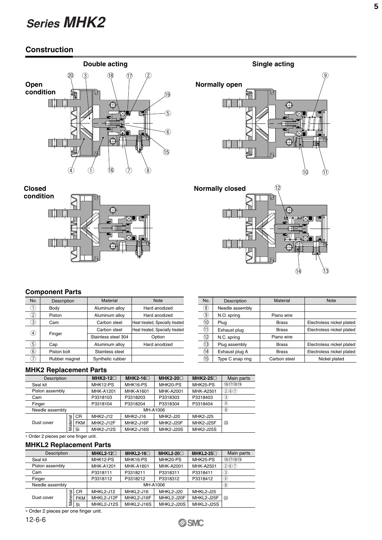# **Construction**







**Closed condition**



### **Component Parts**

| No.               | Description   | <b>Material</b>     | <b>Note</b>                     |
|-------------------|---------------|---------------------|---------------------------------|
| 1.                | Body          | Aluminum alloy      | Hard anodized                   |
| $\left( 2\right)$ | Piston        | Aluminum alloy      | Hard anodized                   |
| $\left(3\right)$  | Cam           | Carbon steel        | Heat treated, Specially treated |
| $\left(4\right)$  |               | Carbon steel        | Heat treated, Specially treated |
|                   | Finger        | Stainless steel 304 | Option                          |
| 5)                | Cap           | Aluminum alloy      | Hard anodized                   |
| (6)               | Piston bolt   | Stainless steel     |                                 |
|                   | Rubber magnet | Synthetic rubber    |                                 |

| No.               | Description      | <b>Material</b> | <b>Note</b>               |
|-------------------|------------------|-----------------|---------------------------|
| $\left( 8\right)$ | Needle assembly  |                 |                           |
| $\left( 9\right)$ | N.O. spring      | Piano wire      |                           |
| 10)               | Plug             | <b>Brass</b>    | Electroless nickel plated |
| (11               | Exhaust plug     | <b>Brass</b>    | Electroless nickel plated |
| 12)               | N.C. spring      | Piano wire      |                           |
| (13)              | Plug assembly    | <b>Brass</b>    | Electroless nickel plated |
| 14)               | Exhaust plug A   | Brass           | Electroless nickel plated |
| 15)               | Type C snap ring | Carbon steel    | Nickel plated             |

#### **MHK2 Replacement Parts**

| Description     |     |            | $MHK2-12 \square$ | $MHK2-16$        | MHK2-20 $\Box$   | MHK2-25 $\Box$   | Main parts        |
|-----------------|-----|------------|-------------------|------------------|------------------|------------------|-------------------|
| Seal kit        |     |            | MHK12-PS          | MHK16-PS         | MHK20-PS         | MHK25-PS         | (16)(17)(18)(19)  |
| Piston assembly |     |            | <b>MHK-A1201</b>  | MHK-A1601        | MHK-A2001        | MHK-A2501        | (2)(6)(7)         |
| Cam             |     |            | P3318103          | P3318203         | P3318303         | P3318403         | $\circled{3}$     |
| Finger          |     |            | P3318104          | P3318204         | P3318304         | P3318404         | $\left( 4\right)$ |
| Needle assembly |     |            |                   |                  | MH-A1006         |                  | $\circledR$       |
|                 | त्त | CR.        | MHK2-J12          | MHK2-J16         | MHK2-J20         | MHK2-J25         |                   |
| Dust cover      | ate | <b>FKM</b> | MHK2-J12F         | <b>MHK2-J16F</b> | <b>MHK2-J20F</b> | <b>MHK2-J25F</b> | (20)              |
|                 | Σ   | Si         | <b>MHK2-J12S</b>  | MHK2-J16S        | <b>MHK2-J20S</b> | <b>MHK2-J25S</b> |                   |

∗ Order 2 pieces per one finger unit.

#### **MHKL2 Replacement Parts**

| Description     |         |            | MHKL2-12 $\Box$  | MHKL2-16 $\Box$  | MHKL2-20 $\Box$  | MHKL2-25 $\Box$  | Main parts                 |
|-----------------|---------|------------|------------------|------------------|------------------|------------------|----------------------------|
| Seal kit        |         |            | MHK12-PS         | MHK16-PS         | MHK20-PS         | MHK25-PS         | (16)(7)(18)(19)            |
| Piston assembly |         |            | <b>MHK-A1201</b> | <b>MHK-A1601</b> | <b>MHK-A2001</b> | <b>MHK-A2501</b> | (2)(6)(7)                  |
| Cam             |         |            | P3318111         | P3318211         | P3318311         | P3318411         | $\circled{3}$              |
| Finger          |         |            | P3318112         | P3318212         | P3318312         | P3318412         | $\left( \mathbf{4}\right)$ |
| Needle assembly |         |            |                  |                  | MH-A1006         |                  | $\circledR$                |
|                 | ᢎ<br>∵⊏ | <b>CR</b>  | MHKL2-J12        | MHKL2-J16        | MHKL2-J20        | MHKL2-J25        |                            |
| Dust cover      | ater    | <b>FKM</b> | MHKL2-J12F       | MHKL2-J16F       | MHKL2-J20F       | MHKL2-J25F       | (20)                       |
|                 | ⋝       | Si         | MHKL2-J12S       | MHKL2-J16S       | MHKL2-J20S       | MHKL2-J25S       |                            |

∗ Order 2 pieces per one finger unit.



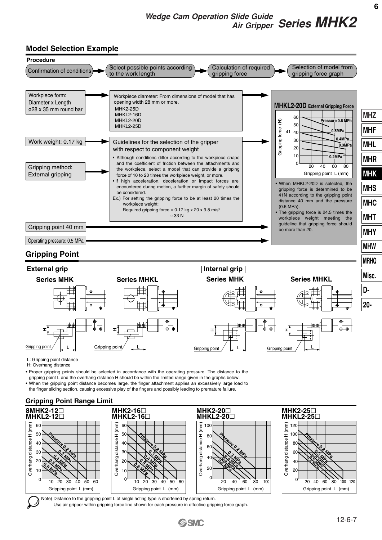# **Model Selection Example**



L: Gripping point distance

H: Overhang distance

• Proper gripping points should be selected in accordance with the operating pressure. The distance to the gripping point L and the overhang distance H should be within the limited range given in the graphs below.

• When the gripping point distance becomes large, the finger attachment applies an excessively large load to

the finger sliding section, causing excessive play of the fingers and possibly leading to premature failure.

### **Gripping Point Range Limit**



Use air gripper within gripping force line shown for each pressure in effective gripping force graph.

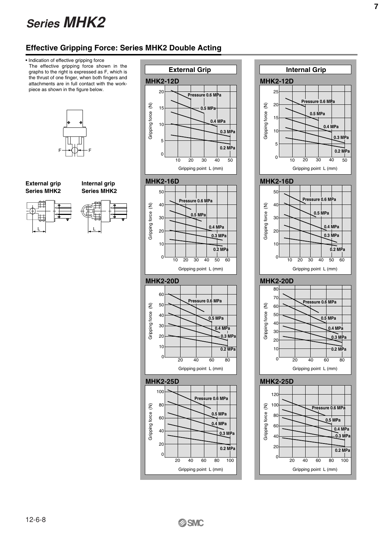# **Effective Gripping Force: Series MHK2 Double Acting**

• Indication of effective gripping force The effective gripping force shown in the graphs to the right is expressed as F, which is the thrust of one finger, when both fingers and attachments are in full contact with the workpiece as shown in the figure below.





**Internal grip Series MHK2**















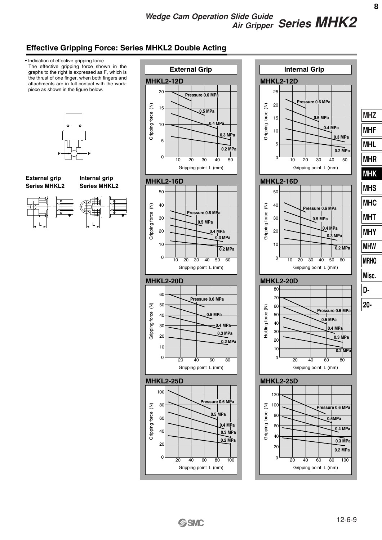# *Series MHK2 Wedge Cam Operation Slide Guide Air Gripper*

# **Effective Gripping Force: Series MHKL2 Double Acting**

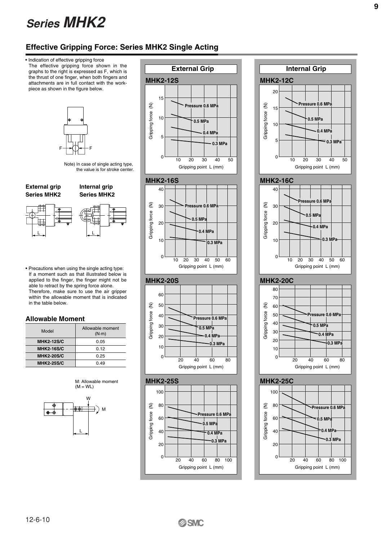# **Effective Gripping Force: Series MHK2 Single Acting**

• Indication of effective gripping force The effective gripping force shown in the graphs to the right is expressed as F, which is the thrust of one finger, when both fingers and **MHK2-12S** attachments are in full contact with the workpiece as shown in the figure below. 15  $\widehat{\epsilon}$ Gripping force (N) **Gripping force** 10 **0.5 MPa 0.4 MPa** 5 **0.3 MPa** F<del>|+</del>(|)++F 0 10 20 30 40 50 Note) In case of single acting type, Gripping point L (mm) the value is for stroke center. **MHK2-16S External grip Internal grip** 40 **Series MHK2 Series MHK2** ξ Gripping force (N) 30 **Pressure 0.6 MPa** Gripping force **0.5 MPa** 20 **0.4 MPa** L  $10$ **0.3 MPa**  $0$  0  $\frac{1}{10}$  0  $\frac{1}{10}$  0  $\frac{1}{10}$  0  $\frac{1}{10}$  0  $\frac{1}{10}$  0  $\frac{1}{10}$  0  $\frac{1}{10}$  0  $\frac{1}{10}$  0  $\frac{1}{10}$  0  $\frac{1}{10}$  0  $\frac{1}{10}$  0  $\frac{1}{10}$  0  $\frac{1}{10}$  0  $\frac{1}{10}$  0  $\frac{1}{10}$  0  $\frac{1}{10}$  0  $\frac{1}{1$ 10 20 30 40 50 Gripping point L (mm) • Precautions when using the single acting type: If a moment such as that illustrated below is applied to the finger, the finger might not be **MHK2-20S** able to retract by the spring force alone. Therefore, make sure to use the air gripper 60 within the allowable moment that is indicated in the table below. ξ 50 Gripping force (N) Gripping force 40 **Allowable Moment** 30 **0.5 MPa** Model **Allowable moment**  $(N \cdot m)$ 20 **0.4 MPa MHK2-12S/C**  $\overline{0.05}$ **0.3 MPa** 10 **MHK2-16S/C** 0.12 **MHK2-20S/C** 0.25 0 0 20 40 60 80 **MHK2-25S/C** 0.49 Gripping point L (mm) M: Allowable moment **MHK2-25S**  $(M = WL)$ 100 W 80  $\widehat{\epsilon}$ Gripping force (N) ∋⊕⊦ M **Gripping force Pressure 0.6 MPa** 60 **0.5 MPa** 40 L **0.4 MPa 0.3 MPa** 20



60



L



20 40 60 80 100

Gripping point L (mm)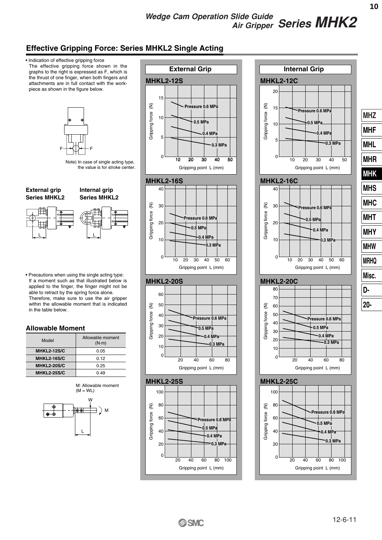# **Effective Gripping Force: Series MHKL2 Single Acting**



**SSMC** 

12-6-11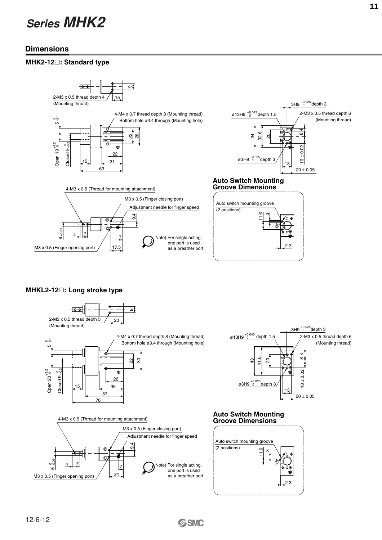# **Dimensions**

### **MHK2-12**-**: Standard type**



### **MHKL2-12**-**: Long stroke type**



**SSMC**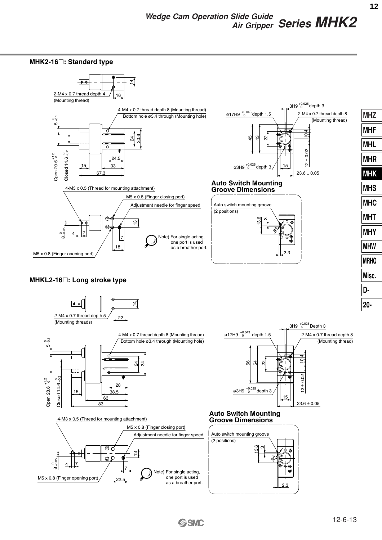

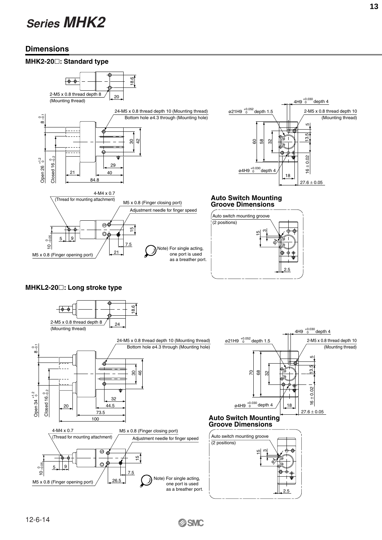# **Dimensions**



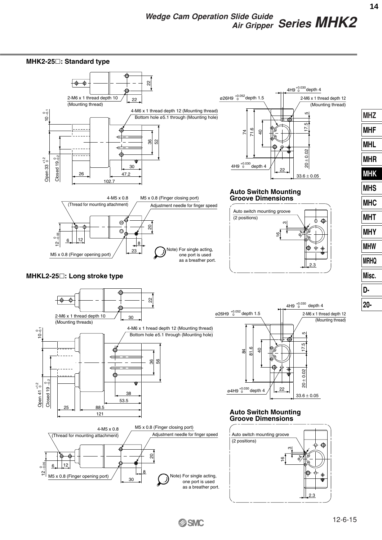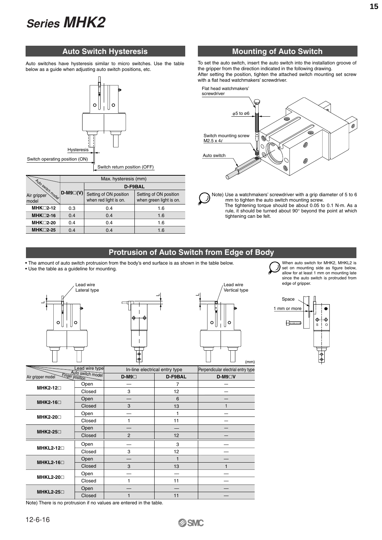Auto switches have hysteresis similar to micro switches. Use the table below as a guide when adjusting auto switch positions, etc.



|                                           | Max. hysteresis (mm) |                                                 |                                                   |  |  |  |  |
|-------------------------------------------|----------------------|-------------------------------------------------|---------------------------------------------------|--|--|--|--|
|                                           |                      | D-F9BAL                                         |                                                   |  |  |  |  |
| Auto switch model<br>Air gripper<br>model | $D-M9\square(V)$     | Setting of ON position<br>when red light is on. | Setting of ON position<br>when green light is on. |  |  |  |  |
| $MHK\square$ 2-12                         | 0.3                  | 0.4                                             | 1.6                                               |  |  |  |  |
| $MHK \square 2-16$                        | 0.4                  | 0.4                                             | 1.6                                               |  |  |  |  |
| MHK□2-20                                  | 0.4                  | 0.4                                             | 1.6                                               |  |  |  |  |
| $MHK\square$ 2-25                         | 0.4                  | 0.4                                             | 1.6                                               |  |  |  |  |

# **Auto Switch Hysteresis Mounting of Auto Switch**

To set the auto switch, insert the auto switch into the installation groove of the gripper from the direction indicated in the following drawing. After setting the position, tighten the attached switch mounting set screw with a flat head watchmakers' screwdriver.



Note) Use a watchmakers' screwdriver with a grip diameter of 5 to 6 mm to tighten the auto switch mounting screw. The tightening torque should be about 0.05 to 0.1 N·m. As a rule, it should be turned about 90° beyond the point at which tightening can be felt.

## **Protrusion of Auto Switch from Edge of Body**

• The amount of auto switch protrusion from the body's end surface is as shown in the table below. • Use the table as a guideline for mounting.







When auto switch for MHK2, MHKL2 is set on mounting side as figure below, allow for at least 1 mm on mounting late since the auto switch is protruded from edge of gripper.



|                                      |                   |                |                               | (mm)                               |
|--------------------------------------|-------------------|----------------|-------------------------------|------------------------------------|
|                                      | Lead wire type    |                | In-line electrical entry type | Perpendicular electrial entry type |
| Finger position<br>Air gripper model | Auto switch model | $D-M9$         | D-F9BAL                       | $D-M9 \Box V$                      |
| MHK2-12□                             | Open              |                | 7                             |                                    |
|                                      | Closed            | 3              | 12                            |                                    |
| MHK2-16□                             | Open              |                | 6                             |                                    |
|                                      | Closed            | 3              | 13                            |                                    |
| MHK2-20□                             | Open              |                |                               |                                    |
|                                      | Closed            |                | 11                            |                                    |
| MHK2-25□                             | Open              |                |                               |                                    |
|                                      | Closed            | $\overline{2}$ | 12                            |                                    |
|                                      | Open              |                | 3                             |                                    |
| $MHKL2-12\square$                    | Closed            | 3              | 12                            |                                    |
| $MHKL2-16 \square$                   | Open              |                |                               |                                    |
|                                      | Closed            | 3              | 13                            | 1                                  |
| <b>MHKL2-20</b> □                    | Open              |                |                               |                                    |
|                                      | Closed            |                | 11                            |                                    |
| <b>MHKL2-25</b> □                    | Open              |                |                               |                                    |
|                                      | Closed            |                | 11                            |                                    |

Note) There is no protrusion if no values are entered in the table.